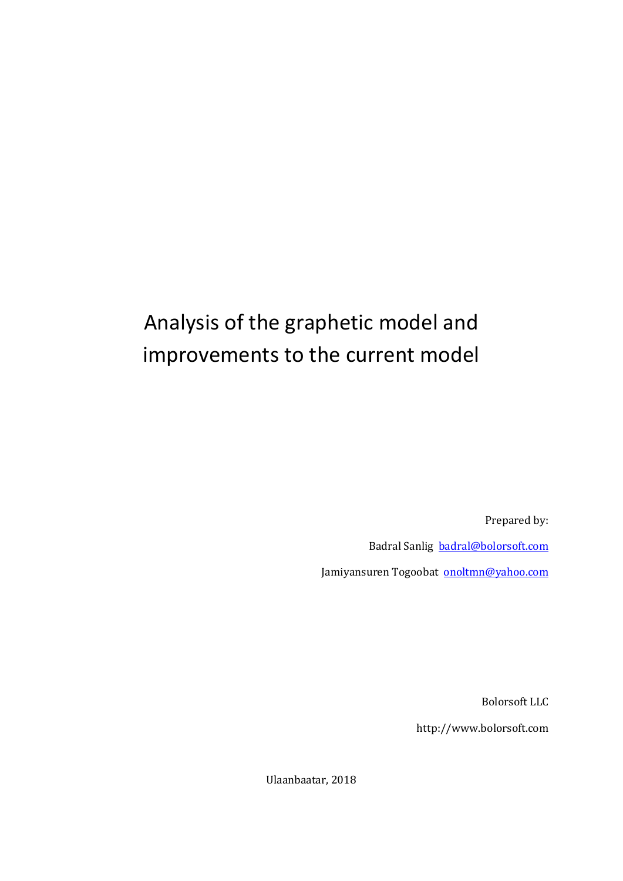# Analysis of the graphetic model and improvements to the current model

Prepared by:

Badral Sanlig [badral@bolorsoft.com](mailto:badral@bolorsoft.com)

Jamiyansuren Togoobat [onoltmn@yahoo.com](mailto:onoltmn@yahoo.com)

Bolorsoft LLC http://www.bolorsoft.com

Ulaanbaatar, 2018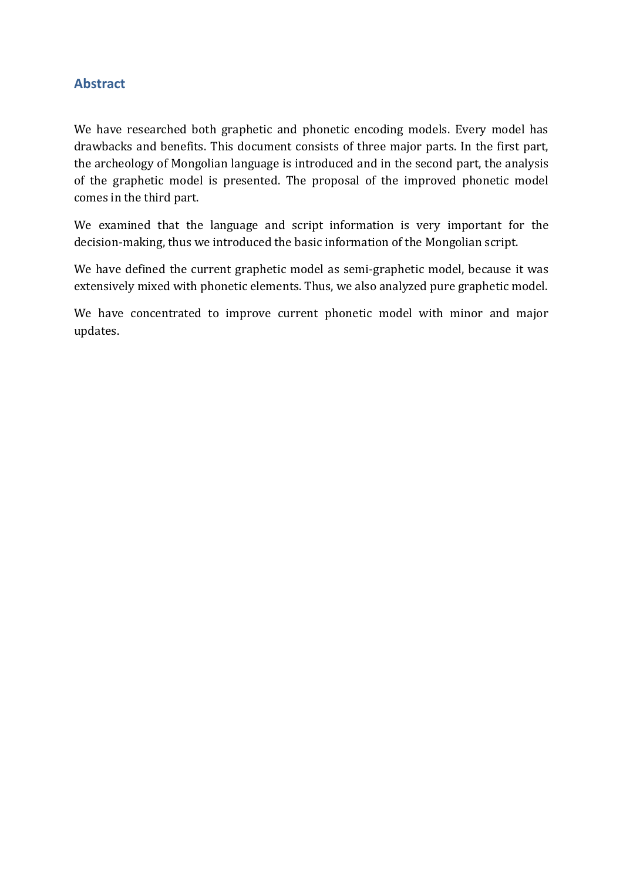#### **Abstract**

We have researched both graphetic and phonetic encoding models. Every model has drawbacks and benefits. This document consists of three major parts. In the first part, the archeology of Mongolian language is introduced and in the second part, the analysis of the graphetic model is presented. The proposal of the improved phonetic model comes in the third part.

We examined that the language and script information is very important for the decision-making, thus we introduced the basic information of the Mongolian script.

We have defined the current graphetic model as semi-graphetic model, because it was extensively mixed with phonetic elements. Thus, we also analyzed pure graphetic model.

We have concentrated to improve current phonetic model with minor and major updates.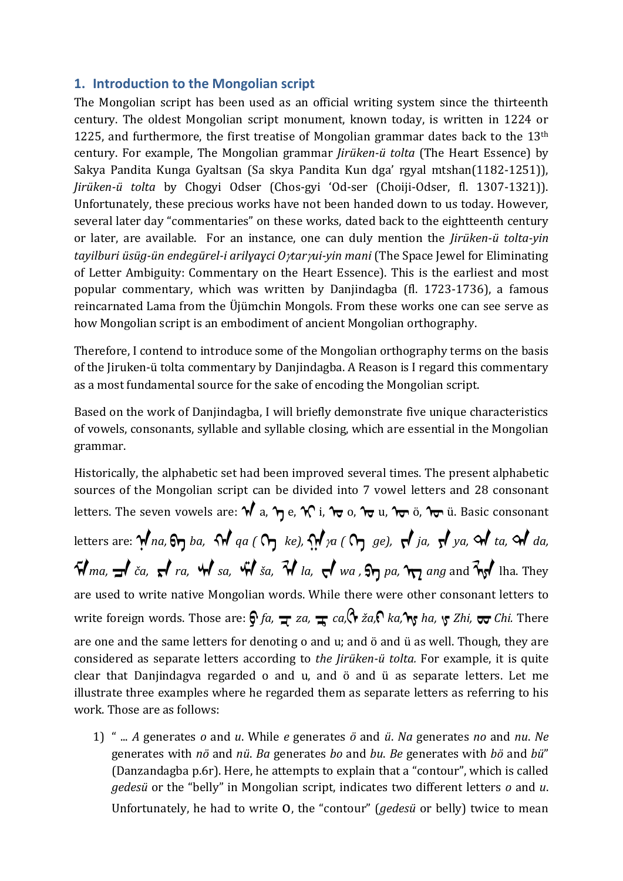#### **1. Introduction to the Mongolian script**

The Mongolian script has been used as an official writing system since the thirteenth century. The oldest Mongolian script monument, known today, is written in 1224 or 1225, and furthermore, the first treatise of Mongolian grammar dates back to the  $13<sup>th</sup>$ century. For example, The Mongolian grammar *Jirüken-ü tolta* (The Heart Essence) by Sakya Pandita Kunga Gyaltsan (Sa skya Pandita Kun dga' rgyal mtshan(1182-1251)), *Jirüken-ü tolta* by Chogyi Odser (Chos-gyi 'Od-ser (Choiji-Odser, fl. 1307-1321)). Unfortunately, these precious works have not been handed down to us today. However, several later day "commentaries" on these works, dated back to the eightteenth century or later, are available. For an instance, one can duly mention the *Jirüken-ü tolta-yin tayilburi üsüg-ün endegürel-i arilɣaɣci Otarui-yin mani* (The Space Jewel for Eliminating of Letter Ambiguity: Commentary on the Heart Essence). This is the earliest and most popular commentary, which was written by Danjindagba (fl. 1723-1736), a famous reincarnated Lama from the Üjümchin Mongols. From these works one can see serve as how Mongolian script is an embodiment of ancient Mongolian orthography.

Therefore, I contend to introduce some of the Mongolian orthography terms on the basis of the Jiruken-ü tolta commentary by Danjindagba. A Reason is I regard this commentary as a most fundamental source for the sake of encoding the Mongolian script.

Based on the work of Danjindagba, I will briefly demonstrate five unique characteristics of vowels, consonants, syllable and syllable closing, which are essential in the Mongolian grammar.

Historically, the alphabetic set had been improved several times. The present alphabetic sources of the Mongolian script can be divided into 7 vowel letters and 28 consonant letters. The seven vowels are:  $\mathcal{N}$  a,  $\mathcal{N}$  e,  $\mathcal{N}$  i,  $\mathcal{N}$  o,  $\mathcal{N}$  u,  $\mathcal{N}$  ö,  $\mathcal{N}$  ü. Basic consonant letters are:  $\gamma$ *na,*  $\theta$ <sub>7</sub> *ba,*  $\gamma$ *i qa (* $\theta$ <sub>7</sub> *ke)*,  $\gamma$ <sup>*i*</sup> *ya (* $\theta$ <sub>7</sub> *ge)*,  $\gamma$ <sup>*i*</sup> *ja*,  $\gamma$ <sup>*i*</sup> *ya*,  $\alpha$ *i ta*,  $\alpha$ *i da*,  $\vec{M}$ ma,  $\vec{M}$  *ča,*  $\vec{M}$  *ra,*  $\vec{M}$  *sa,*  $\vec{M}$  *la,*  $\vec{M}$  *wa*,  $\vec{S}$ *n pa,*  $\vec{M}$  *ang* and  $\vec{M}$  lha. They are used to write native Mongolian words. While there were other consonant letters to write foreign words. Those are: ᠹ *fa,* ᠽ *za,* ᠼ *ca,*ᠿ *ža,*ᠻ *ka,*ᠾ *ha,* ᡁ *Zhi,* ᡂ *Chi.* There are one and the same letters for denoting o and u; and ö and ü as well. Though, they are considered as separate letters according to *the Jirüken-ü tolta.* For example, it is quite clear that Danjindagva regarded o and u, and ö and ü as separate letters. Let me illustrate three examples where he regarded them as separate letters as referring to his work. Those are as follows:

1) " ... *A* generates *o* and *u*. While *e* generates *ö* and *ü*. *Na* generates *no* and *nu*. *Ne* generates with *nö* and *nü*. *Ba* generates *bo* and *bu*. *Be* generates with *bö* and *bü*" (Danzandagba p.6r). Here, he attempts to explain that a "contour", which is called *gedesü* or the "belly" in Mongolian script, indicates two different letters *o* and *u*. Unfortunately, he had to write O, the "contour" (*gedesü* or belly) twice to mean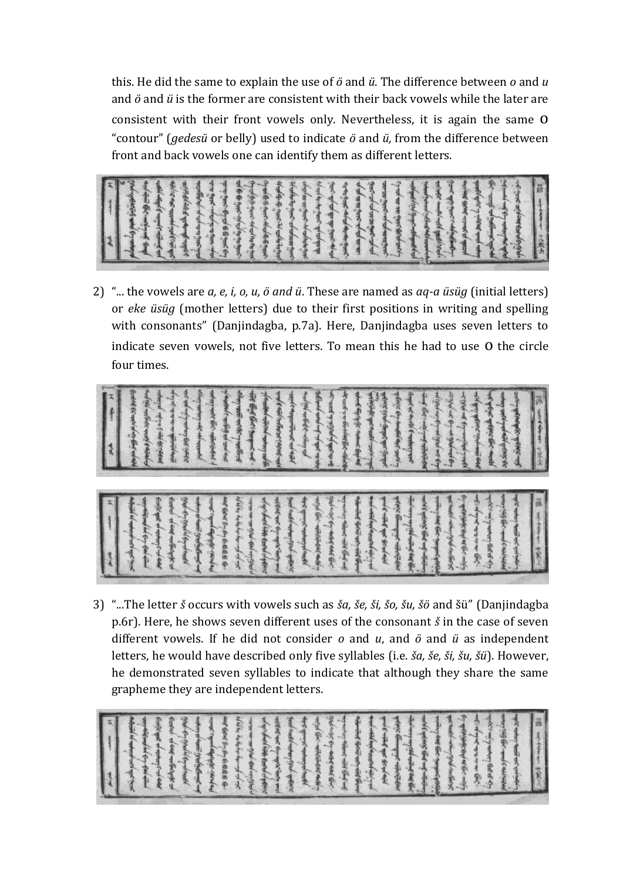this. He did the same to explain the use of *ö* and *ü*. The difference between *o* and *u* and *ö* and *ü* is the former are consistent with their back vowels while the later are consistent with their front vowels only. Nevertheless, it is again the same O "contour" (*gedesü* or belly) used to indicate *ö* and *ü,* from the difference between front and back vowels one can identify them as different letters.



2) "... the vowels are *a, e, i, o, u, ö and ü*. These are named as *aq-a üsüg* (initial letters) or *eke üsüg* (mother letters) due to their first positions in writing and spelling with consonants" (Danjindagba, p.7a). Here, Danjindagba uses seven letters to indicate seven vowels, not five letters. To mean this he had to use O the circle four times.



3) "...The letter *š* occurs with vowels such as *ša, še, ši, šo, šu, šö* and šü" (Danjindagba p.6r). Here, he shows seven different uses of the consonant *š* in the case of seven different vowels. If he did not consider *o* and *u*, and *ö* and *ü* as independent letters, he would have described only five syllables (i.e. *ša, še, ši, šu, šü*). However, he demonstrated seven syllables to indicate that although they share the same grapheme they are independent letters.

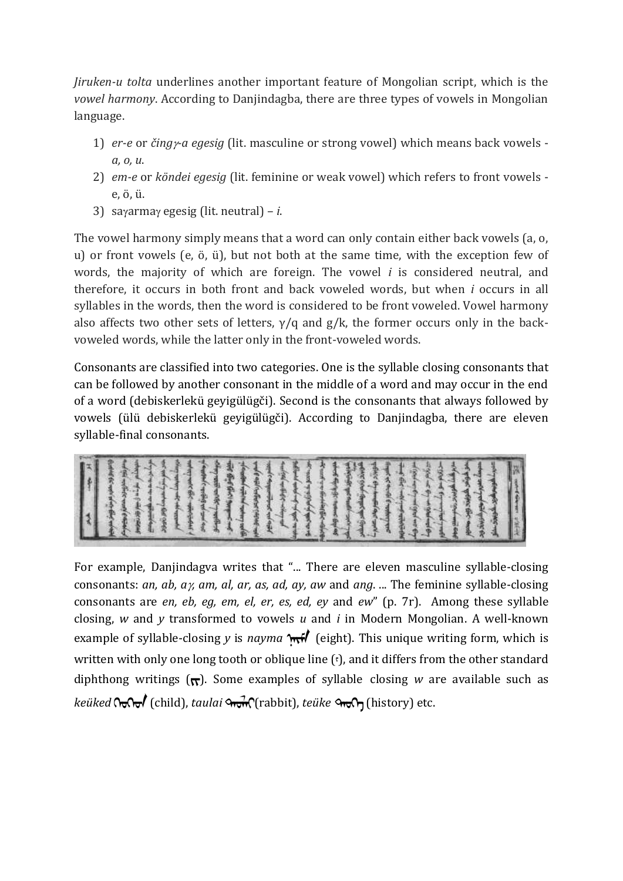*Jiruken-u tolta* underlines another important feature of Mongolian script, which is the *vowel harmony*. According to Danjindagba, there are three types of vowels in Mongolian language.

- 1) *er-e* or *čing-a egesig* (lit. masculine or strong vowel) which means back vowels *a, o, u*.
- 2) *em-e* or *köndei egesig* (lit. feminine or weak vowel) which refers to front vowels e, ö, ü.
- 3) sayarmay egesig (lit. neutral)  $-i$ .

The vowel harmony simply means that a word can only contain either back vowels (a, o, u) or front vowels (e, ö, ü), but not both at the same time, with the exception few of words, the majority of which are foreign. The vowel *i* is considered neutral, and therefore, it occurs in both front and back voweled words, but when *i* occurs in all syllables in the words, then the word is considered to be front voweled. Vowel harmony also affects two other sets of letters,  $\gamma$ /q and g/k, the former occurs only in the backvoweled words, while the latter only in the front-voweled words.

Consonants are classified into two categories. One is the syllable closing consonants that can be followed by another consonant in the middle of a word and may occur in the end of a word (debiskerlekü geyigülügči). Second is the consonants that always followed by vowels (ülü debiskerlekü geyigülügči). According to Danjindagba, there are eleven syllable-final consonants.



For example, Danjindagva writes that "... There are eleven masculine syllable-closing consonants: *an, ab, a, am, al, ar, as, ad, ay, aw* and *ang*. ... The feminine syllable-closing consonants are *en, eb, eg, em, el, er, es, ed, ey* and *ew*" (p. 7r). Among these syllable closing, *w* and *y* transformed to vowels *u* and *i* in Modern Mongolian. A well-known example of syllable-closing *y* is *nayma*  $\pi$ **f** (eight). This unique writing form, which is written with only one long tooth or oblique line (v), and it differs from the other standard diphthong writings (ᡳ). Some examples of syllable closing *w* are available such as *keüked* ᡗᠠᡇᡴᡝᠠᠠᠠᠠᠠ (child), *taulai* ᠲᠠᡇᠯᠩ(rabbit), *teüke* ᠲᠠᡇᡴᡝ (history) etc.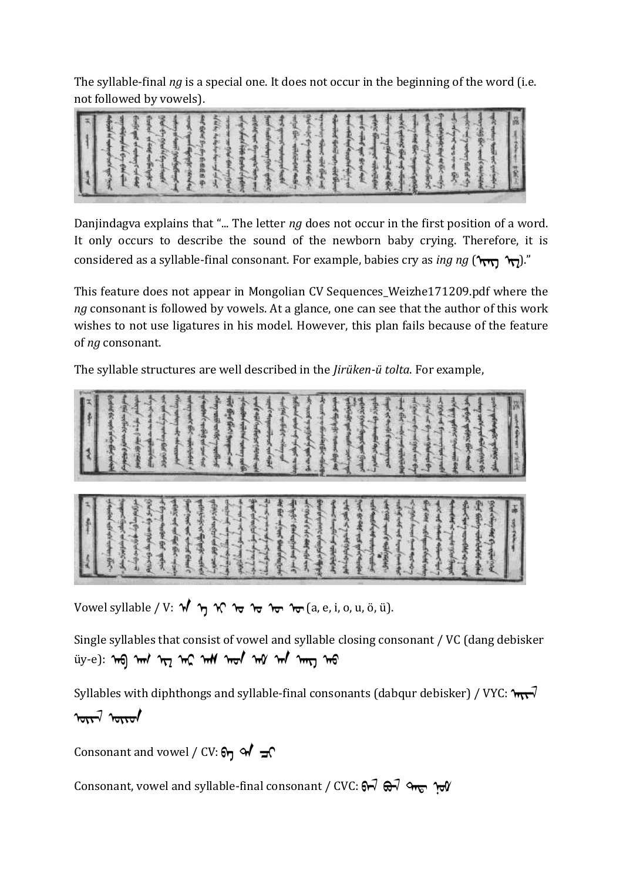The syllable-final *ng* is a special one. It does not occur in the beginning of the word (i.e. not followed by vowels).



Danjindagva explains that "... The letter *ng* does not occur in the first position of a word. It only occurs to describe the sound of the newborn baby crying. Therefore, it is considered as a syllable-final consonant. For example, babies cry as *ing ng* (<del>λπ)</del> (m)."

This feature does not appear in Mongolian CV Sequences\_Weizhe171209.pdf where the *ng* consonant is followed by vowels. At a glance, one can see that the author of this work wishes to not use ligatures in his model. However, this plan fails because of the feature of *ng* consonant.

The syllable structures are well described in the *Jirüken-ü tolta*. For example,



Vowel syllable / V:  $\mathcal{N}$   $\eta$   $\mathcal{N}$   $\mathcal{N}$   $\mathcal{N}$   $\mathcal{N}$   $\mathcal{N}$   $\mathcal{N}$   $\mathcal{N}$   $\mathcal{N}$   $\mathcal{N}$   $\mathcal{N}$   $\mathcal{N}$   $\mathcal{N}$   $\mathcal{N}$   $\mathcal{N}$   $\mathcal{N}$   $\mathcal{N}$   $\mathcal{N}$   $\mathcal{N}$   $\mathcal{N}$   $\mathcal{N}$   $\mathcal{N}$ 

Single syllables that consist of vowel and syllable closing consonant / VC (dang debisker üy-e): <del>ᠠ</del>ᠠᠪ ᠠᠬ ᠡᠢ ᠠᠷ ᠠᠷ ᠠᠡᠰ ᠠᠳ ᠠᠮ ᠠᠮ ᠠᠩ ᠠ

Syllables with diphthongs and syllable-final consonants (dabqur debisker) / VYC:  $\pi r \sqrt{ }$  $\theta$   $\theta$ 

Consonant and vowel / CV:  $\theta$ 7  $\theta$   $\pi$ 

Consonant, vowel and syllable-final consonant / CVC:  $\theta$ rd  $\theta$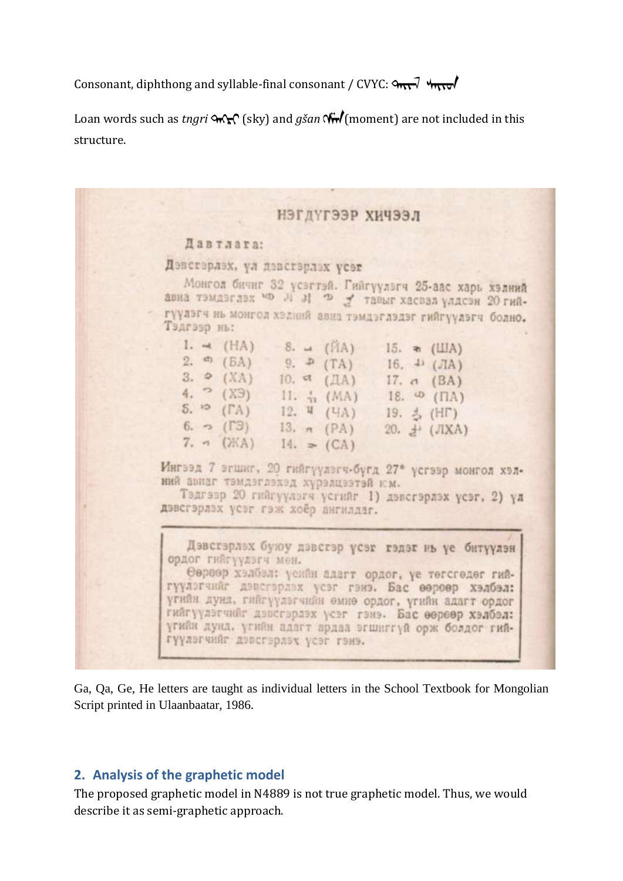Consonant, diphthong and syllable-final consonant / CVYC: ᠲᠠᠢᠢᠯ ᠰᠠᠶᠢᠳ

Loan words such as *tngri* ᠲᠩᠷᠶ (sky) and *gšan* ᠭ ᠱᠠᠨ(moment) are not included in this structure.

|             |                                                                             | нэгдүгээр хичээл |                                                                                                                                                                                                                                                                                                                                                |  |
|-------------|-----------------------------------------------------------------------------|------------------|------------------------------------------------------------------------------------------------------------------------------------------------------------------------------------------------------------------------------------------------------------------------------------------------------------------------------------------------|--|
|             | Давтлага:                                                                   |                  |                                                                                                                                                                                                                                                                                                                                                |  |
|             | Дэвстэрлэх, ул дэвсгэрлэх үсэг                                              |                  |                                                                                                                                                                                                                                                                                                                                                |  |
|             |                                                                             |                  | Монгол бичиг 32 усэгтэй. Гийгүүлэгч 25-аас харь хэлний<br>авиа тэмдэглэх чо Л Д Ф У тавыг хасвая улдсэн 20 гий-                                                                                                                                                                                                                                |  |
| Тэдгээр нь: |                                                                             |                  | гүүлэгч нь монгол хэлний авиа тэмдэглэдэг гийгүүлэгч болно.                                                                                                                                                                                                                                                                                    |  |
|             |                                                                             |                  | 1. $\rightarrow$ (HA) 8. a (MA) 15. $\rightarrow$ (ША)                                                                                                                                                                                                                                                                                         |  |
|             |                                                                             |                  | 2. $\infty$ (EA) 9. $\triangleright$ (TA) 16. $\downarrow$ (JA)                                                                                                                                                                                                                                                                                |  |
|             |                                                                             |                  | 3. 2 (XA) 10. d (ДА) 17. a (BA)                                                                                                                                                                                                                                                                                                                |  |
|             |                                                                             |                  | 4. $\degree$ (X3) 11. $\frac{1}{11}$ (MA) 18. $\degree$ (HA)                                                                                                                                                                                                                                                                                   |  |
|             |                                                                             |                  | 5. $\circ$ (FA) 12. 4 (4A) 19. $\frac{1}{2}$ (HF)                                                                                                                                                                                                                                                                                              |  |
|             | 6. $\sim$ (F3) 13. $n$ (PA)                                                 |                  | $20. \pm (JIXA)$                                                                                                                                                                                                                                                                                                                               |  |
|             | 7. $\sim$ ( <i>XA</i> ) 14. $\approx$ (CA)                                  |                  |                                                                                                                                                                                                                                                                                                                                                |  |
|             | ний авиаг тэмдэглэхэд хүрэлцээтэй юм.<br>дэвсгэрлэх үсэг гэж хоёр ангилдаг. |                  | Ингээд 7 эгшиг, 20 гийгүүлэгч-бүгд 27* үсгээр монгол хэл-<br>Тэдгээр 20 гийгүүлэгч үсгийг 1) дэвсгэрлэх үсэг. 2) үл                                                                                                                                                                                                                            |  |
|             | ордог гийгүүлэгч мөн.                                                       |                  | Дэвстэрлэх буюу дэвсгэр үсэг гэдэг нь үе битүүлэн<br>Өөрөөр хэлбэл: үеийн адагт ордог, үе төгсгөдөг гий-<br>гүүлэгчийг дэвсгэрлэх үсэг гэнэ. Бас өөрөөр хэлбэл:<br>угийн дунд, гийгүүлэгчийн өмнө ордог, үгийн адагт ордог<br>гийгүүлэгчийг дэвсгэрлэх үсэг гэнэ. Бас өөрөөр хэлбэл:<br>үгийн дунд, үгийн адагт ардаа эгшиггүй орж болдог гий- |  |

Ga, Qa, Ge, He letters are taught as individual letters in the School Textbook for Mongolian Script printed in Ulaanbaatar, 1986.

# **2. Analysis of the graphetic model**

The proposed graphetic model in N4889 is not true graphetic model. Thus, we would describe it as semi-graphetic approach.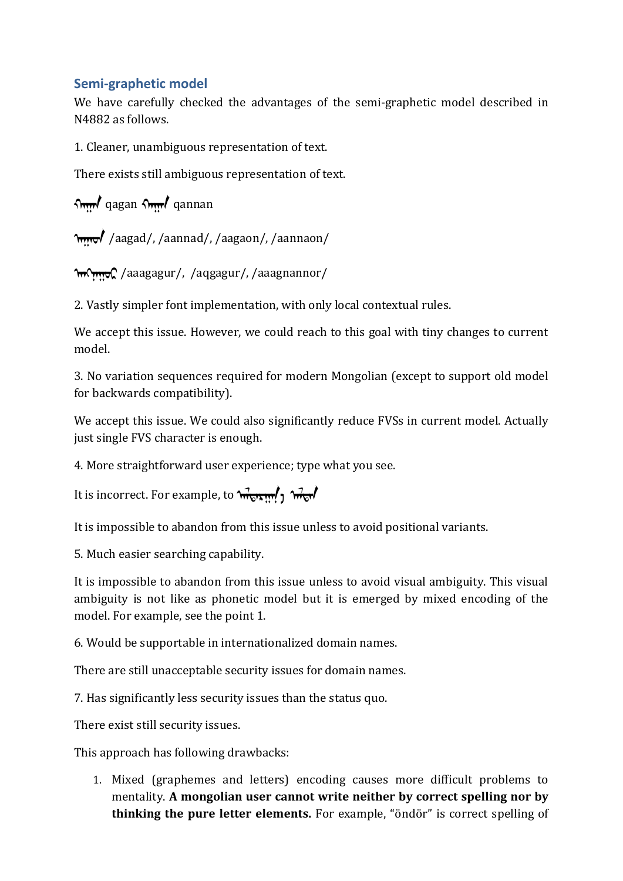# **Semi-graphetic model**

We have carefully checked the advantages of the semi-graphetic model described in N4882 as follows.

1. Cleaner, unambiguous representation of text.

There exists still ambiguous representation of text.

ᠬᠠᠭᠠᠨ qagan ᠬᠠᠭᠠᠨ qannan

 $\sim$  /aagad/, /aannad/, /aagaon/, /aannaon/

ን<sub></sub> የተደረገ /aaagagur/, /aqgagur/, /aaagnannor/

2. Vastly simpler font implementation, with only local contextual rules.

We accept this issue. However, we could reach to this goal with tiny changes to current model.

3. No variation sequences required for modern Mongolian (except to support old model for backwards compatibility).

We accept this issue. We could also significantly reduce FVSs in current model. Actually just single FVS character is enough.

4. More straightforward user experience; type what you see.

It is incorrect. For example, to  $\overbrace{\text{m}_{\text{min}}^{\text{max}}$ 

It is impossible to abandon from this issue unless to avoid positional variants.

5. Much easier searching capability.

It is impossible to abandon from this issue unless to avoid visual ambiguity. This visual ambiguity is not like as phonetic model but it is emerged by mixed encoding of the model. For example, see the point 1.

6. Would be supportable in internationalized domain names.

There are still unacceptable security issues for domain names.

7. Has significantly less security issues than the status quo.

There exist still security issues.

This approach has following drawbacks:

1. Mixed (graphemes and letters) encoding causes more difficult problems to mentality. **A mongolian user cannot write neither by correct spelling nor by thinking the pure letter elements.** For example, "öndör" is correct spelling of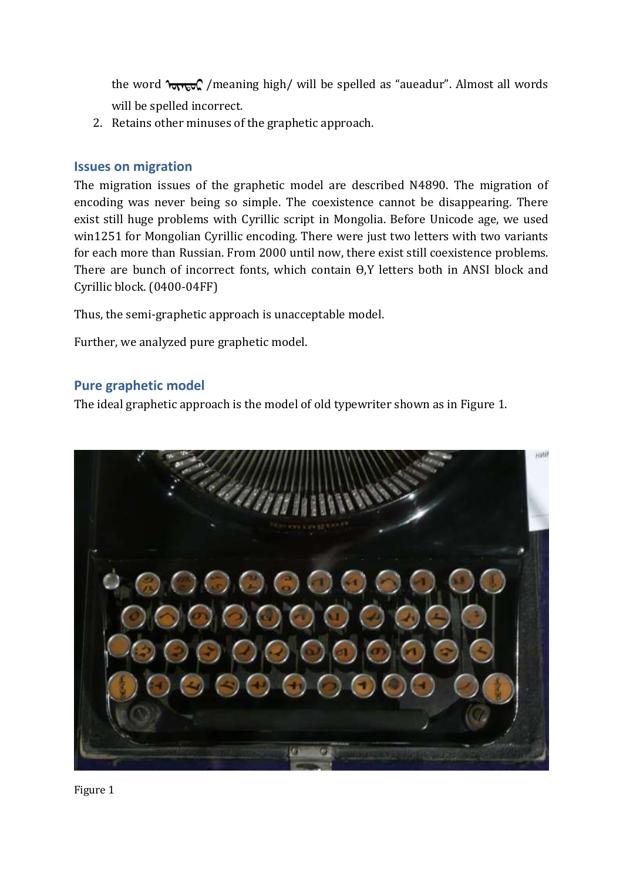the word  $\gamma_{\text{out}}$ , /meaning high/ will be spelled as "aueadur". Almost all words will be spelled incorrect.

2. Retains other minuses of the graphetic approach.

#### **Issues on migration**

The migration issues of the graphetic model are described N4890. The migration of encoding was never being so simple. The coexistence cannot be disappearing. There exist still huge problems with Cyrillic script in Mongolia. Before Unicode age, we used win1251 for Mongolian Cyrillic encoding. There were just two letters with two variants for each more than Russian. From 2000 until now, there exist still coexistence problems. There are bunch of incorrect fonts, which contain Ө,Ү letters both in ANSI block and Cyrillic block. (0400-04FF)

Thus, the semi-graphetic approach is unacceptable model.

Further, we analyzed pure graphetic model.

#### **Pure graphetic model**

The ideal graphetic approach is the model of old typewriter shown as in Figure 1.



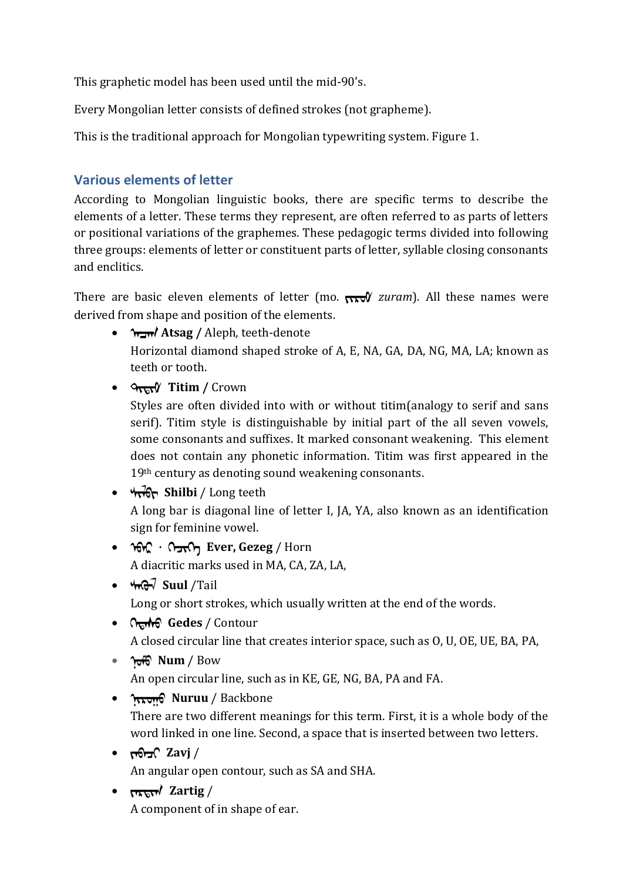This graphetic model has been used until the mid-90's.

Every Mongolian letter consists of defined strokes (not grapheme).

This is the traditional approach for Mongolian typewriting system. Figure 1.

# **Various elements of letter**

According to Mongolian linguistic books, there are specific terms to describe the elements of a letter. These terms they represent, are often referred to as parts of letters or positional variations of the graphemes. These pedagogic terms divided into following three groups: elements of letter or constituent parts of letter, syllable closing consonants and enclitics.

There are basic eleven elements of letter (mo. ᠵᠢᠷᠦᠮ *zuram*). All these names were derived from shape and position of the elements.

- $\pi$ <sub>m</sub>/ Atsag / Aleph, teeth-denote Horizontal diamond shaped stroke of A, E, NA, GA, DA, NG, MA, LA; known as teeth or tooth.
- <del>9τετ</del>ή Titim / Crown

Styles are often divided into with or without titim(analogy to serif and sans serif). Titim style is distinguishable by initial part of the all seven vowels, some consonants and suffixes. It marked consonant weakening. This element does not contain any phonetic information. Titim was first appeared in the 19<sup>th</sup> century as denoting sound weakening consonants.

# **•**  $\sqrt{\pi}$  **Shilbi** / Long teeth

A long bar is diagonal line of letter I, JA, YA, also known as an identification sign for feminine vowel.

- ᠡᠪᠡᠷ ᠂ ᠬᠡᠵᠢᠬᠡ **Ever, Gezeg** / Horn A diacritic marks used in MA, CA, ZA, LA,
- $\bullet$   $\forall$ **m** $\theta$  $\sqrt{}$  **Suul** /Tail

Long or short strokes, which usually written at the end of the words.

**•** Orgentle **Gedes** / Contour

A closed circular line that creates interior space, such as O, U, OE, UE, BA, PA,

#### $\bullet$   $\sim$   $\sim$  **Num** / Bow

An open circular line, such as in KE, GE, NG, BA, PA and FA.

• <del>λεινο</del> **Nuruu** / Backbone

There are two different meanings for this term. First, it is a whole body of the word linked in one line. Second, a space that is inserted between two letters.

- $\bullet$   $\theta$  $\theta$  $\sigma$ <sup> $\theta$ </sup> Zavj / An angular open contour, such as SA and SHA.
- $\bullet$   $\overrightarrow{r_{\text{max}}}$  **Zartig** /

A component of in shape of ear.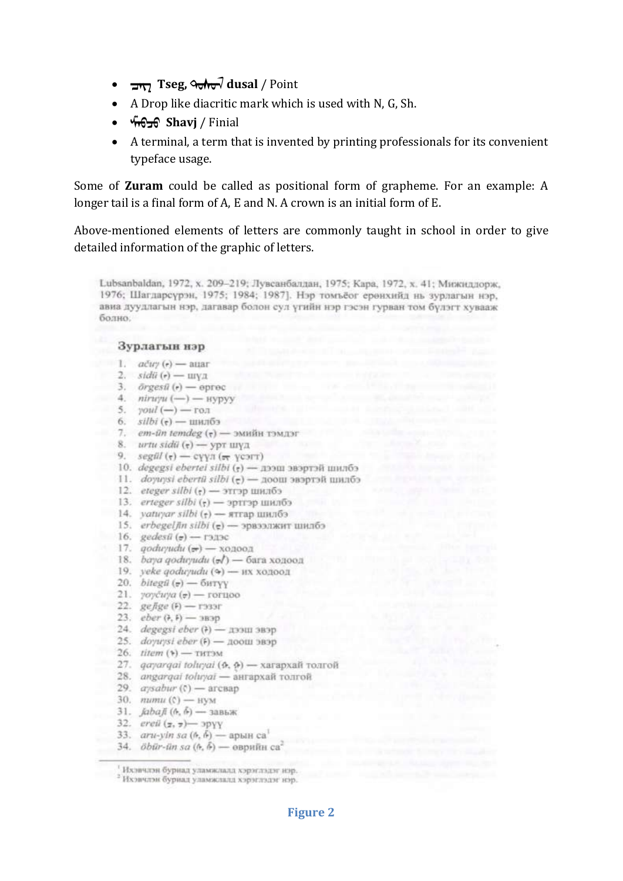- ᠴᠡᠭ **Tseg,** ᠳᠤᠰᠤᠯ **dusal** / Point
- A Drop like diacritic mark which is used with N, G, Sh.
- **•** *G*<sub>7</sub><sup>6</sup> Shavj / Finial
- A terminal, a term that is invented by printing professionals for its convenient typeface usage.

Some of **Zuram** could be called as positional form of grapheme. For an example: A longer tail is a final form of A, E and N. A crown is an initial form of E.

Above-mentioned elements of letters are commonly taught in school in order to give detailed information of the graphic of letters.

Lubsanbaldan, 1972, х. 209-219; Лувсанбалдан, 1975; Кара, 1972, х. 41; Мижиддорж, 1976; Шагдарсурэн, 1975; 1984; 1987]. Нэр томъёог ерөнхийд нь зурлагын нэр. авиа дуудлагын нэр, дагавар болон сул үгийн нэр гэсэн гурван том бүлэгт хувааж болно. Зурлагын нэр 1.  $a \text{div}(r)$   $\rightarrow$  attar 2.  $sidi(r)$  —  $\mu \nu \lambda$ 3.  $\partial \text{resil}(\epsilon)$  —  $\phi$ 4.  $niruyu$  (-) - нуруу 5.  $\gamma \circ u \cdot (-)$  - ron 6.  $silbi$  ( $\epsilon$ ) — шилбэ 7. ет-йп temdeg  $(\tau)$  — эмийн тэмдэг 8.  $urtu \, sidii (\tau)$  — урт шүл<br>9.  $segill (\tau)$  — сүүл ( $\pi$  үсэгт) 10. degegsi ebertei silbi (т) — дээш эвэртэй шилбэ 11. doyuysi ebertü silbi (e) — доош эвэртэй шилбэ 12. *eteger silbi*  $(e)$  — этгэр шилбэ 13. *erteger silbi* ( $\epsilon$ ) — эртгэр шилбэ 14. *yatuyar silbi* ( $\frac{1}{2}$ ) — ятгар шилбэ 15. *erbegeljin silbi* (e) — эрвээлжит шилбэ 16. gedesü  $(\sigma)$  — гэдэс 17.  $qodryudu (\pi)$  - ходоод<br>18. *baya qoduyudu*  $(\pi)$  - бага ходоод 19. yeke qoduyudu  $(\diamond)$  — 11X x020021<br>20. bitegil  $(\circ)$  — битүү 21. γογένγα (σ) — гогцоо 21. *γογέινα* (<del>ν</del>) — гогцоо<br>22. *gejige* (λ) — гэзэг<br>23. *eber* (λ, λ) — эвэр 23.  $eber (7, 5)$  - 3B3p 24. degegst eber  $(\tilde{r})$  — *x*33m 3B3p 25. doyuysi eber  $(F)$  — *noom 383p* 26.  $titem (*)$  — титэм 27.  $q$ ауаг<br/>qai toluyai (ф. <br/>ф.) — хагархай толгой 28. аngarqai toluyai — ангархай толгой 29.  $a$ ysabur ( $\circ$ ) — arc $\mathfrak{so}$ 30.  $mmu$ (с) — нум 31.  $jabaf$  (е, б) — завык 32. *ereli* (*z*, *z*) — *sp*yy<br>33. *aru-yin sa* (*h*, *h*) — арын са<sup>1</sup> 33. *aru-yin sa*  $(h, h)$  — apын ca'<br>34. *öbür-ün sa*  $(h, h)$  — өврийн са<sup>2</sup>

<sup>.&</sup>lt;br>Чхэвчлэн бурнад уламжлалд хэрэглэдэг нэр.<br><sup>2</sup> Иханхлан бурнал уламжлалд хэрэглэлэг нэр. <sup>2</sup> Ихэвчлэн бурнад уламжлалд хэрэглэдэг нэр.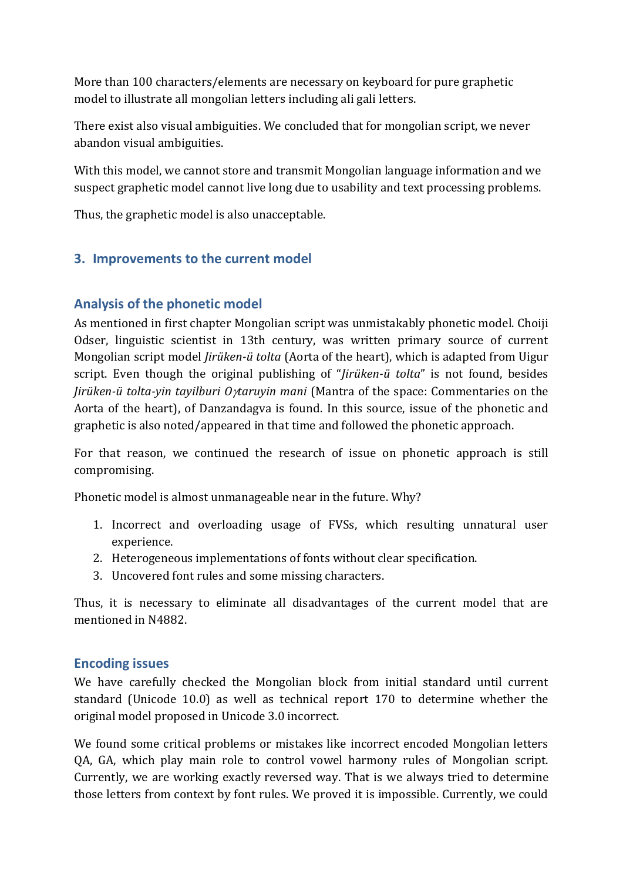More than 100 characters/elements are necessary on keyboard for pure graphetic model to illustrate all mongolian letters including ali gali letters.

There exist also visual ambiguities. We concluded that for mongolian script, we never abandon visual ambiguities.

With this model, we cannot store and transmit Mongolian language information and we suspect graphetic model cannot live long due to usability and text processing problems.

Thus, the graphetic model is also unacceptable.

# **3. Improvements to the current model**

# **Analysis of the phonetic model**

As mentioned in first chapter Mongolian script was unmistakably phonetic model. Choiji Odser, linguistic scientist in 13th century, was written primary source of current Mongolian script model *Jirüken-ü tolta* (Aorta of the heart), which is adapted from Uigur script. Even though the original publishing of "*Jirüken-ü tolta*" is not found, besides *Jirüken-ü tolta-yin tayilburi Otaruyin mani* (Mantra of the space: Commentaries on the Aorta of the heart), of Danzandagva is found. In this source, issue of the phonetic and graphetic is also noted/appeared in that time and followed the phonetic approach.

For that reason, we continued the research of issue on phonetic approach is still compromising.

Phonetic model is almost unmanageable near in the future. Why?

- 1. Incorrect and overloading usage of FVSs, which resulting unnatural user experience.
- 2. Heterogeneous implementations of fonts without clear specification.
- 3. Uncovered font rules and some missing characters.

Thus, it is necessary to eliminate all disadvantages of the current model that are mentioned in N4882.

# **Encoding issues**

We have carefully checked the Mongolian block from initial standard until current standard (Unicode 10.0) as well as technical report 170 to determine whether the original model proposed in Unicode 3.0 incorrect.

We found some critical problems or mistakes like incorrect encoded Mongolian letters QA, GA, which play main role to control vowel harmony rules of Mongolian script. Currently, we are working exactly reversed way. That is we always tried to determine those letters from context by font rules. We proved it is impossible. Currently, we could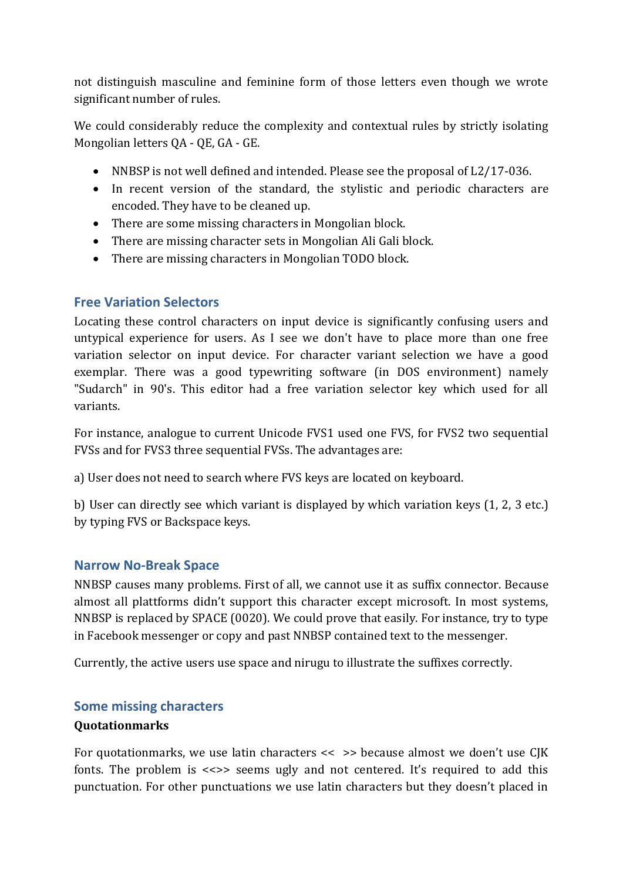not distinguish masculine and feminine form of those letters even though we wrote significant number of rules.

We could considerably reduce the complexity and contextual rules by strictly isolating Mongolian letters QA - QE, GA - GE.

- NNBSP is not well defined and intended. Please see the proposal of L2/17-036.
- In recent version of the standard, the stylistic and periodic characters are encoded. They have to be cleaned up.
- There are some missing characters in Mongolian block.
- There are missing character sets in Mongolian Ali Gali block.
- There are missing characters in Mongolian TODO block.

#### **Free Variation Selectors**

Locating these control characters on input device is significantly confusing users and untypical experience for users. As I see we don't have to place more than one free variation selector on input device. For character variant selection we have a good exemplar. There was a good typewriting software (in DOS environment) namely "Sudarch" in 90's. This editor had a free variation selector key which used for all variants.

For instance, analogue to current Unicode FVS1 used one FVS, for FVS2 two sequential FVSs and for FVS3 three sequential FVSs. The advantages are:

a) User does not need to search where FVS keys are located on keyboard.

b) User can directly see which variant is displayed by which variation keys (1, 2, 3 etc.) by typing FVS or Backspace keys.

#### **Narrow No-Break Space**

NNBSP causes many problems. First of all, we cannot use it as suffix connector. Because almost all plattforms didn't support this character except microsoft. In most systems, NNBSP is replaced by SPACE (0020). We could prove that easily. For instance, try to type in Facebook messenger or copy and past NNBSP contained text to the messenger.

Currently, the active users use space and nirugu to illustrate the suffixes correctly.

# **Some missing characters**

#### **Quotationmarks**

For quotationmarks, we use latin characters << >> because almost we doen't use CJK fonts. The problem is <<>> seems ugly and not centered. It's required to add this punctuation. For other punctuations we use latin characters but they doesn't placed in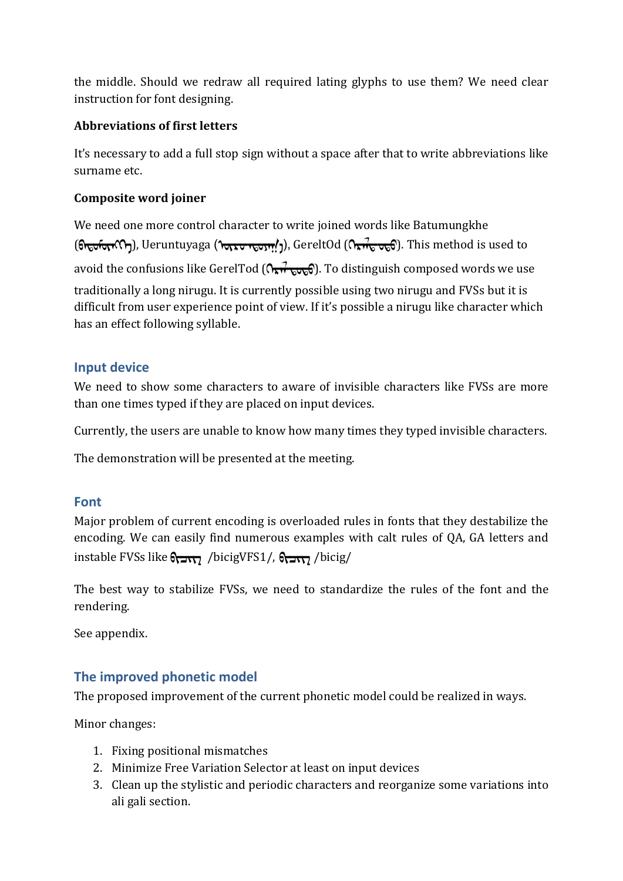the middle. Should we redraw all required lating glyphs to use them? We need clear instruction for font designing.

#### **Abbreviations of first letters**

It's necessary to add a full stop sign without a space after that to write abbreviations like surname etc.

#### **Composite word joiner**

We need one more control character to write joined words like Batumungkhe  $(\partial_{\mathbf{r},\mathbf{r},\mathbf{r},\mathbf{r},\mathbf{r}}(\mathbf{r})$ , Ueruntuyaga  $(\partial_{\mathbf{r},\mathbf{r},\mathbf{r},\mathbf{r},\mathbf{r},\mathbf{r},\mathbf{r}})$ , GereltOd  $(\partial_{\mathbf{r},\mathbf{r},\mathbf{r},\mathbf{r},\mathbf{r},\mathbf{r},\mathbf{r},\mathbf{r},\mathbf{r},\mathbf{r},\mathbf{r},\mathbf{r},\mathbf{r},\mathbf{r},\mathbf{r},\mathbf{r},\mathbf{r},\$ avoid the confusions like GerelTod  $(n_{\overline{k}} + \frac{1}{n_{\overline{k}}})$ . To distinguish composed words we use traditionally a long nirugu. It is currently possible using two nirugu and FVSs but it is difficult from user experience point of view. If it's possible a nirugu like character which has an effect following syllable.

# **Input device**

We need to show some characters to aware of invisible characters like FVSs are more than one times typed if they are placed on input devices.

Currently, the users are unable to know how many times they typed invisible characters.

The demonstration will be presented at the meeting.

# **Font**

Major problem of current encoding is overloaded rules in fonts that they destabilize the encoding. We can easily find numerous examples with calt rules of QA, GA letters and instable FVSs like  $\frac{1}{\sqrt{2}}$  /bicigVFS1/,  $\frac{1}{\sqrt{2}}$  /bicig/

The best way to stabilize FVSs, we need to standardize the rules of the font and the rendering.

See appendix.

# **The improved phonetic model**

The proposed improvement of the current phonetic model could be realized in ways.

Minor changes:

- 1. Fixing positional mismatches
- 2. Minimize Free Variation Selector at least on input devices
- 3. Clean up the stylistic and periodic characters and reorganize some variations into ali gali section.